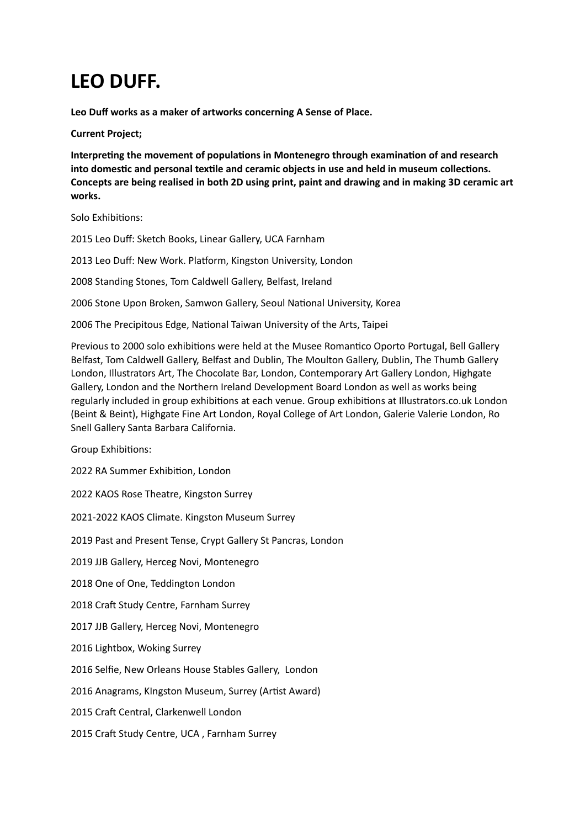# **LEO DUFF.**

**Leo Duff works as a maker of artworks concerning A Sense of Place.**

**Current Project;**

**Interpreting the movement of populations in Montenegro through examination of and research into domestic and personal textile and ceramic objects in use and held in museum collections. Concepts are being realised in both 2D using print, paint and drawing and in making 3D ceramic art works.**

Solo Exhibitions:

2015 Leo Duff: Sketch Books, Linear Gallery, UCA Farnham

2013 Leo Duff: New Work. Platform, Kingston University, London

2008 Standing Stones, Tom Caldwell Gallery, Belfast, Ireland

2006 Stone Upon Broken, Samwon Gallery, Seoul National University, Korea

2006 The Precipitous Edge, National Taiwan University of the Arts, Taipei

Previous to 2000 solo exhibitions were held at the Musee Romantico Oporto Portugal, Bell Gallery Belfast, Tom Caldwell Gallery, Belfast and Dublin, The Moulton Gallery, Dublin, The Thumb Gallery London, Illustrators Art, The Chocolate Bar, London, Contemporary Art Gallery London, Highgate Gallery, London and the Northern Ireland Development Board London as well as works being regularly included in group exhibitions at each venue. Group exhibitions at Illustrators.co.uk London (Beint & Beint), Highgate Fine Art London, Royal College of Art London, Galerie Valerie London, Ro Snell Gallery Santa Barbara California.

Group Exhibitions:

2022 RA Summer Exhibition, London

2022 KAOS Rose Theatre, Kingston Surrey

2021-2022 KAOS Climate. Kingston Museum Surrey

2019 Past and Present Tense, Crypt Gallery St Pancras, London

2019 JJB Gallery, Herceg Novi, Montenegro

2018 One of One, Teddington London

2018 Craft Study Centre, Farnham Surrey

2017 JJB Gallery, Herceg Novi, Montenegro

2016 Lightbox, Woking Surrey

2016 Selfie, New Orleans House Stables Gallery, London

2016 Anagrams, KIngston Museum, Surrey (Artist Award)

2015 Craft Central, Clarkenwell London

2015 Craft Study Centre, UCA , Farnham Surrey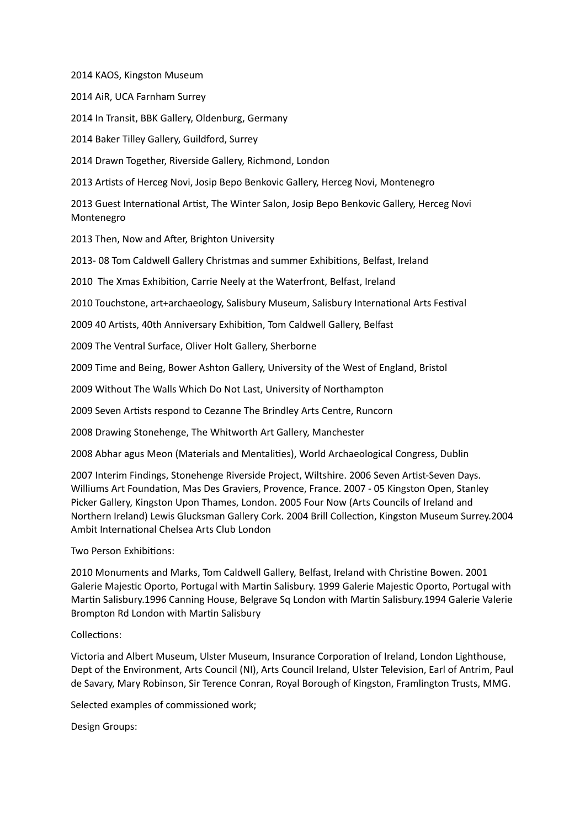2014 KAOS, Kingston Museum

2014 AiR, UCA Farnham Surrey

2014 In Transit, BBK Gallery, Oldenburg, Germany

2014 Baker Tilley Gallery, Guildford, Surrey

2014 Drawn Together, Riverside Gallery, Richmond, London

2013 Artists of Herceg Novi, Josip Bepo Benkovic Gallery, Herceg Novi, Montenegro

2013 Guest International Artist, The Winter Salon, Josip Bepo Benkovic Gallery, Herceg Novi Montenegro

2013 Then, Now and After, Brighton University

2013- 08 Tom Caldwell Gallery Christmas and summer Exhibitions, Belfast, Ireland

2010 The Xmas Exhibition, Carrie Neely at the Waterfront, Belfast, Ireland

2010 Touchstone, art+archaeology, Salisbury Museum, Salisbury International Arts Festival

2009 40 Artists, 40th Anniversary Exhibition, Tom Caldwell Gallery, Belfast

2009 The Ventral Surface, Oliver Holt Gallery, Sherborne

2009 Time and Being, Bower Ashton Gallery, University of the West of England, Bristol

2009 Without The Walls Which Do Not Last, University of Northampton

2009 Seven Artists respond to Cezanne The Brindley Arts Centre, Runcorn

2008 Drawing Stonehenge, The Whitworth Art Gallery, Manchester

2008 Abhar agus Meon (Materials and Mentalities), World Archaeological Congress, Dublin

2007 Interim Findings, Stonehenge Riverside Project, Wiltshire. 2006 Seven Artist-Seven Days. Williums Art Foundation, Mas Des Graviers, Provence, France. 2007 - 05 Kingston Open, Stanley Picker Gallery, Kingston Upon Thames, London. 2005 Four Now (Arts Councils of Ireland and Northern Ireland) Lewis Glucksman Gallery Cork. 2004 Brill Collection, Kingston Museum Surrey.2004 Ambit International Chelsea Arts Club London

Two Person Exhibitions:

2010 Monuments and Marks, Tom Caldwell Gallery, Belfast, Ireland with Christine Bowen. 2001 Galerie Majestic Oporto, Portugal with Martin Salisbury. 1999 Galerie Majestic Oporto, Portugal with Martin Salisbury.1996 Canning House, Belgrave Sq London with Martin Salisbury.1994 Galerie Valerie Brompton Rd London with Martin Salisbury

#### Collections:

Victoria and Albert Museum, Ulster Museum, Insurance Corporation of Ireland, London Lighthouse, Dept of the Environment, Arts Council (NI), Arts Council Ireland, Ulster Television, Earl of Antrim, Paul de Savary, Mary Robinson, Sir Terence Conran, Royal Borough of Kingston, Framlington Trusts, MMG.

Selected examples of commissioned work;

Design Groups: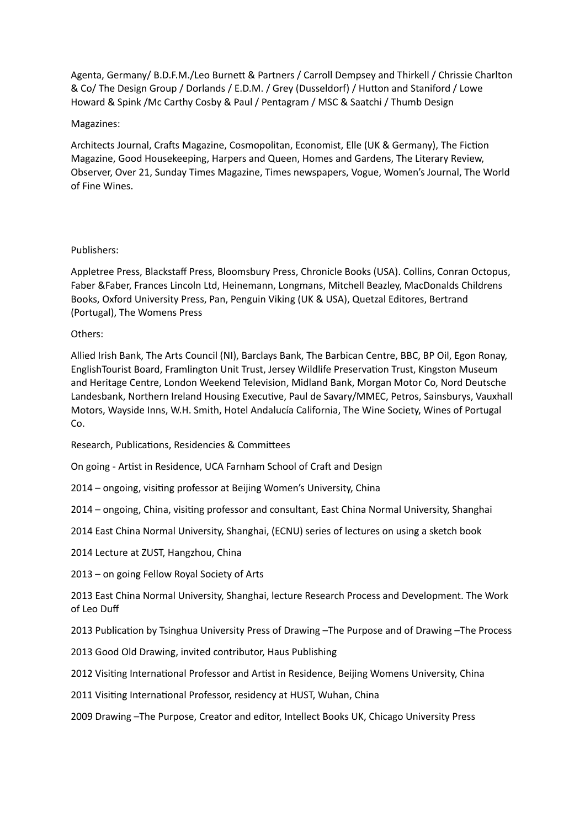Agenta, Germany/ B.D.F.M./Leo Burnett & Partners / Carroll Dempsey and Thirkell / Chrissie Charlton & Co/ The Design Group / Dorlands / E.D.M. / Grey (Dusseldorf) / Hutton and Staniford / Lowe Howard & Spink /Mc Carthy Cosby & Paul / Pentagram / MSC & Saatchi / Thumb Design

### Magazines:

Architects Journal, Crafts Magazine, Cosmopolitan, Economist, Elle (UK & Germany), The Fiction Magazine, Good Housekeeping, Harpers and Queen, Homes and Gardens, The Literary Review, Observer, Over 21, Sunday Times Magazine, Times newspapers, Vogue, Women's Journal, The World of Fine Wines.

## Publishers:

Appletree Press, Blackstaff Press, Bloomsbury Press, Chronicle Books (USA). Collins, Conran Octopus, Faber &Faber, Frances Lincoln Ltd, Heinemann, Longmans, Mitchell Beazley, MacDonalds Childrens Books, Oxford University Press, Pan, Penguin Viking (UK & USA), Quetzal Editores, Bertrand (Portugal), The Womens Press

## Others:

Allied Irish Bank, The Arts Council (NI), Barclays Bank, The Barbican Centre, BBC, BP Oil, Egon Ronay, EnglishTourist Board, Framlington Unit Trust, Jersey Wildlife Preservation Trust, Kingston Museum and Heritage Centre, London Weekend Television, Midland Bank, Morgan Motor Co, Nord Deutsche Landesbank, Northern Ireland Housing Executive, Paul de Savary/MMEC, Petros, Sainsburys, Vauxhall Motors, Wayside Inns, W.H. Smith, Hotel Andalucía California, The Wine Society, Wines of Portugal Co.

Research, Publications, Residencies & Committees

On going - Artist in Residence, UCA Farnham School of Craft and Design

2014 – ongoing, visiting professor at Beijing Women's University, China

2014 – ongoing, China, visiting professor and consultant, East China Normal University, Shanghai

2014 East China Normal University, Shanghai, (ECNU) series of lectures on using a sketch book

2014 Lecture at ZUST, Hangzhou, China

2013 – on going Fellow Royal Society of Arts

2013 East China Normal University, Shanghai, lecture Research Process and Development. The Work of Leo Duff

2013 Publication by Tsinghua University Press of Drawing –The Purpose and of Drawing –The Process

2013 Good Old Drawing, invited contributor, Haus Publishing

2012 Visiting International Professor and Artist in Residence, Beijing Womens University, China

2011 Visiting International Professor, residency at HUST, Wuhan, China

2009 Drawing –The Purpose, Creator and editor, Intellect Books UK, Chicago University Press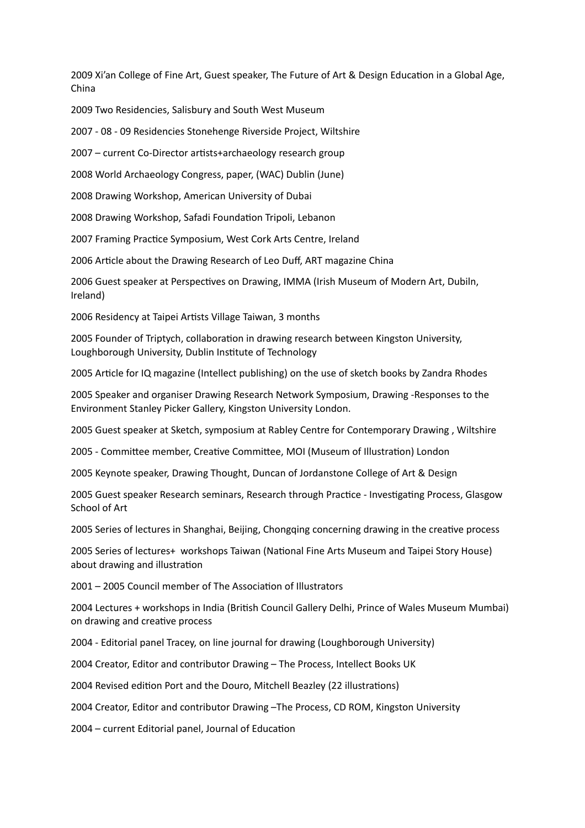2009 Xi'an College of Fine Art, Guest speaker, The Future of Art & Design Education in a Global Age, China

2009 Two Residencies, Salisbury and South West Museum

2007 - 08 - 09 Residencies Stonehenge Riverside Project, Wiltshire

2007 – current Co-Director artists+archaeology research group

2008 World Archaeology Congress, paper, (WAC) Dublin (June)

2008 Drawing Workshop, American University of Dubai

2008 Drawing Workshop, Safadi Foundation Tripoli, Lebanon

2007 Framing Practice Symposium, West Cork Arts Centre, Ireland

2006 Article about the Drawing Research of Leo Duff, ART magazine China

2006 Guest speaker at Perspectives on Drawing, IMMA (Irish Museum of Modern Art, Dubiln, Ireland)

2006 Residency at Taipei Artists Village Taiwan, 3 months

2005 Founder of Triptych, collaboration in drawing research between Kingston University, Loughborough University, Dublin Institute of Technology

2005 Article for IQ magazine (Intellect publishing) on the use of sketch books by Zandra Rhodes

2005 Speaker and organiser Drawing Research Network Symposium, Drawing -Responses to the Environment Stanley Picker Gallery, Kingston University London.

2005 Guest speaker at Sketch, symposium at Rabley Centre for Contemporary Drawing , Wiltshire

2005 - Committee member, Creative Committee, MOI (Museum of Illustration) London

2005 Keynote speaker, Drawing Thought, Duncan of Jordanstone College of Art & Design

2005 Guest speaker Research seminars, Research through Practice - Investigating Process, Glasgow School of Art

2005 Series of lectures in Shanghai, Beijing, Chongqing concerning drawing in the creative process

2005 Series of lectures+ workshops Taiwan (National Fine Arts Museum and Taipei Story House) about drawing and illustration

2001 – 2005 Council member of The Association of Illustrators

2004 Lectures + workshops in India (British Council Gallery Delhi, Prince of Wales Museum Mumbai) on drawing and creative process

2004 - Editorial panel Tracey, on line journal for drawing (Loughborough University)

2004 Creator, Editor and contributor Drawing – The Process, Intellect Books UK

2004 Revised edition Port and the Douro, Mitchell Beazley (22 illustrations)

2004 Creator, Editor and contributor Drawing –The Process, CD ROM, Kingston University

2004 – current Editorial panel, Journal of Education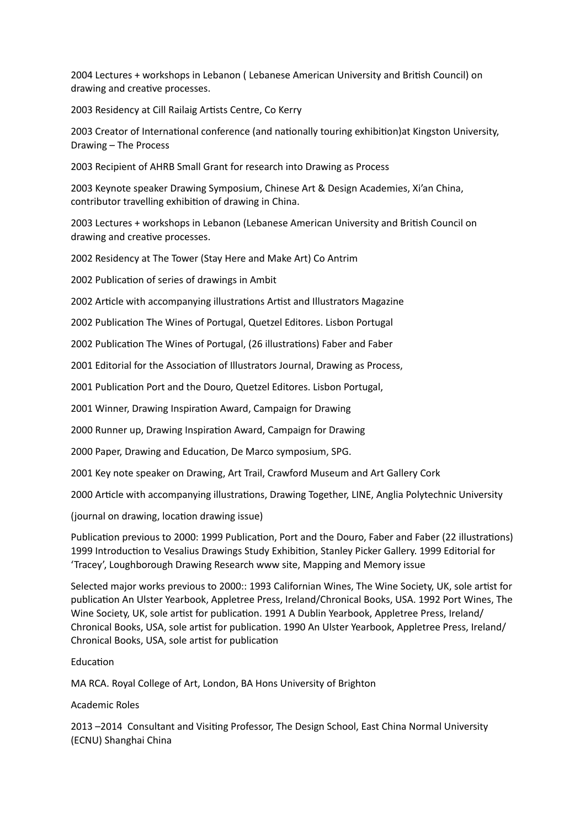2004 Lectures + workshops in Lebanon ( Lebanese American University and British Council) on drawing and creative processes.

2003 Residency at Cill Railaig Artists Centre, Co Kerry

2003 Creator of International conference (and nationally touring exhibition)at Kingston University, Drawing – The Process

2003 Recipient of AHRB Small Grant for research into Drawing as Process

2003 Keynote speaker Drawing Symposium, Chinese Art & Design Academies, Xi'an China, contributor travelling exhibition of drawing in China.

2003 Lectures + workshops in Lebanon (Lebanese American University and British Council on drawing and creative processes.

2002 Residency at The Tower (Stay Here and Make Art) Co Antrim

2002 Publication of series of drawings in Ambit

2002 Article with accompanying illustrations Artist and Illustrators Magazine

2002 Publication The Wines of Portugal, Quetzel Editores. Lisbon Portugal

2002 Publication The Wines of Portugal, (26 illustrations) Faber and Faber

2001 Editorial for the Association of Illustrators Journal, Drawing as Process,

2001 Publication Port and the Douro, Quetzel Editores. Lisbon Portugal,

2001 Winner, Drawing Inspiration Award, Campaign for Drawing

2000 Runner up, Drawing Inspiration Award, Campaign for Drawing

2000 Paper, Drawing and Education, De Marco symposium, SPG.

2001 Key note speaker on Drawing, Art Trail, Crawford Museum and Art Gallery Cork

2000 Article with accompanying illustrations, Drawing Together, LINE, Anglia Polytechnic University

(journal on drawing, location drawing issue)

Publication previous to 2000: 1999 Publication, Port and the Douro, Faber and Faber (22 illustrations) 1999 Introduction to Vesalius Drawings Study Exhibition, Stanley Picker Gallery. 1999 Editorial for 'Tracey', Loughborough Drawing Research www site, Mapping and Memory issue

Selected major works previous to 2000:: 1993 Californian Wines, The Wine Society, UK, sole artist for publication An Ulster Yearbook, Appletree Press, Ireland/Chronical Books, USA. 1992 Port Wines, The Wine Society, UK, sole artist for publication. 1991 A Dublin Yearbook, Appletree Press, Ireland/ Chronical Books, USA, sole artist for publication. 1990 An Ulster Yearbook, Appletree Press, Ireland/ Chronical Books, USA, sole artist for publication

Education

MA RCA. Royal College of Art, London, BA Hons University of Brighton

Academic Roles

2013 –2014 Consultant and Visiting Professor, The Design School, East China Normal University (ECNU) Shanghai China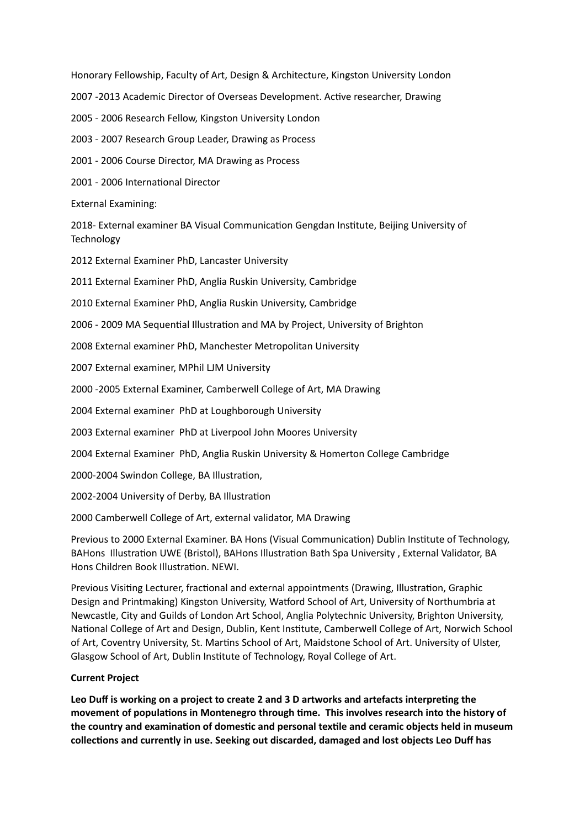Honorary Fellowship, Faculty of Art, Design & Architecture, Kingston University London

2007 -2013 Academic Director of Overseas Development. Active researcher, Drawing

2005 - 2006 Research Fellow, Kingston University London

2003 - 2007 Research Group Leader, Drawing as Process

2001 - 2006 Course Director, MA Drawing as Process

2001 - 2006 International Director

External Examining:

2018- External examiner BA Visual Communication Gengdan Institute, Beijing University of Technology

2012 External Examiner PhD, Lancaster University

2011 External Examiner PhD, Anglia Ruskin University, Cambridge

2010 External Examiner PhD, Anglia Ruskin University, Cambridge

2006 - 2009 MA Sequential Illustration and MA by Project, University of Brighton

2008 External examiner PhD, Manchester Metropolitan University

2007 External examiner, MPhil LJM University

2000 -2005 External Examiner, Camberwell College of Art, MA Drawing

2004 External examiner PhD at Loughborough University

2003 External examiner PhD at Liverpool John Moores University

2004 External Examiner PhD, Anglia Ruskin University & Homerton College Cambridge

2000-2004 Swindon College, BA Illustration,

2002-2004 University of Derby, BA Illustration

2000 Camberwell College of Art, external validator, MA Drawing

Previous to 2000 External Examiner. BA Hons (Visual Communication) Dublin Institute of Technology, BAHons Illustration UWE (Bristol), BAHons Illustration Bath Spa University , External Validator, BA Hons Children Book Illustration. NEWI.

Previous Visiting Lecturer, fractional and external appointments (Drawing, Illustration, Graphic Design and Printmaking) Kingston University, Watford School of Art, University of Northumbria at Newcastle, City and Guilds of London Art School, Anglia Polytechnic University, Brighton University, National College of Art and Design, Dublin, Kent Institute, Camberwell College of Art, Norwich School of Art, Coventry University, St. Martins School of Art, Maidstone School of Art. University of Ulster, Glasgow School of Art, Dublin Institute of Technology, Royal College of Art.

#### **Current Project**

**Leo Duff is working on a project to create 2 and 3 D artworks and artefacts interpreting the movement of populations in Montenegro through time. This involves research into the history of the country and examination of domestic and personal textile and ceramic objects held in museum collections and currently in use. Seeking out discarded, damaged and lost objects Leo Duff has**